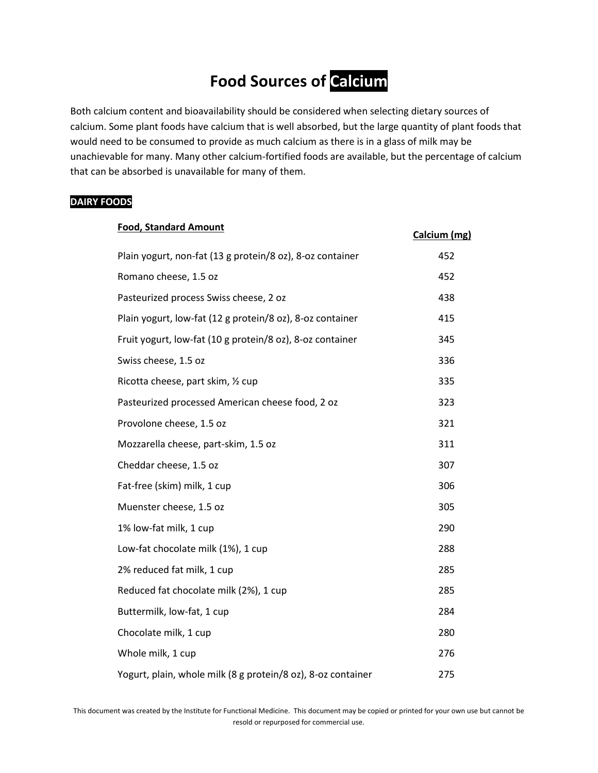## **Food Sources of Calcium**

Both calcium content and bioavailability should be considered when selecting dietary sources of calcium. Some plant foods have calcium that is well absorbed, but the large quantity of plant foods that would need to be consumed to provide as much calcium as there is in a glass of milk may be unachievable for many. Many other calcium-fortified foods are available, but the percentage of calcium that can be absorbed is unavailable for many of them.

## **DAIRY FOODS**

| <b>Food, Standard Amount</b>                                 | Calcium (mg) |
|--------------------------------------------------------------|--------------|
| Plain yogurt, non-fat (13 g protein/8 oz), 8-oz container    | 452          |
| Romano cheese, 1.5 oz                                        | 452          |
| Pasteurized process Swiss cheese, 2 oz                       | 438          |
| Plain yogurt, low-fat (12 g protein/8 oz), 8-oz container    | 415          |
| Fruit yogurt, low-fat (10 g protein/8 oz), 8-oz container    | 345          |
| Swiss cheese, 1.5 oz                                         | 336          |
| Ricotta cheese, part skim, 1/2 cup                           | 335          |
| Pasteurized processed American cheese food, 2 oz             | 323          |
| Provolone cheese, 1.5 oz                                     | 321          |
| Mozzarella cheese, part-skim, 1.5 oz                         | 311          |
| Cheddar cheese, 1.5 oz                                       | 307          |
| Fat-free (skim) milk, 1 cup                                  | 306          |
| Muenster cheese, 1.5 oz                                      | 305          |
| 1% low-fat milk, 1 cup                                       | 290          |
| Low-fat chocolate milk (1%), 1 cup                           | 288          |
| 2% reduced fat milk, 1 cup                                   | 285          |
| Reduced fat chocolate milk (2%), 1 cup                       | 285          |
| Buttermilk, low-fat, 1 cup                                   | 284          |
| Chocolate milk, 1 cup                                        | 280          |
| Whole milk, 1 cup                                            | 276          |
| Yogurt, plain, whole milk (8 g protein/8 oz), 8-oz container | 275          |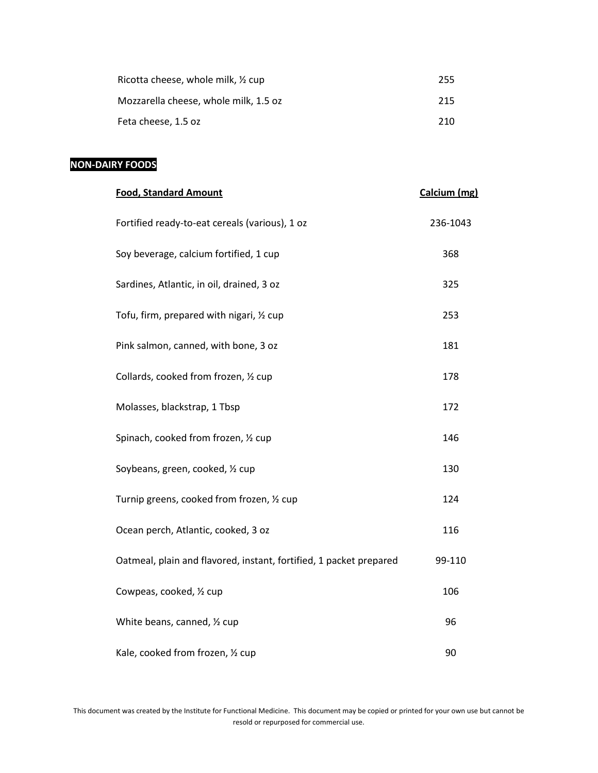| Ricotta cheese, whole milk, $\frac{1}{2}$ cup | 255 |
|-----------------------------------------------|-----|
| Mozzarella cheese, whole milk, 1.5 oz         | 215 |
| Feta cheese, 1.5 oz                           | 210 |

## **NON-DAIRY FOODS**

| <b>Food, Standard Amount</b>                                       | Calcium (mg) |
|--------------------------------------------------------------------|--------------|
| Fortified ready-to-eat cereals (various), 1 oz                     | 236-1043     |
| Soy beverage, calcium fortified, 1 cup                             | 368          |
| Sardines, Atlantic, in oil, drained, 3 oz                          | 325          |
| Tofu, firm, prepared with nigari, 1/2 cup                          | 253          |
| Pink salmon, canned, with bone, 3 oz                               | 181          |
| Collards, cooked from frozen, 1/2 cup                              | 178          |
| Molasses, blackstrap, 1 Tbsp                                       | 172          |
| Spinach, cooked from frozen, 1/2 cup                               | 146          |
| Soybeans, green, cooked, 1/2 cup                                   | 130          |
| Turnip greens, cooked from frozen, 1/2 cup                         | 124          |
| Ocean perch, Atlantic, cooked, 3 oz                                | 116          |
| Oatmeal, plain and flavored, instant, fortified, 1 packet prepared | 99-110       |
| Cowpeas, cooked, 1/2 cup                                           | 106          |
| White beans, canned, 1/2 cup                                       | 96           |
| Kale, cooked from frozen, 1/2 cup                                  | 90           |